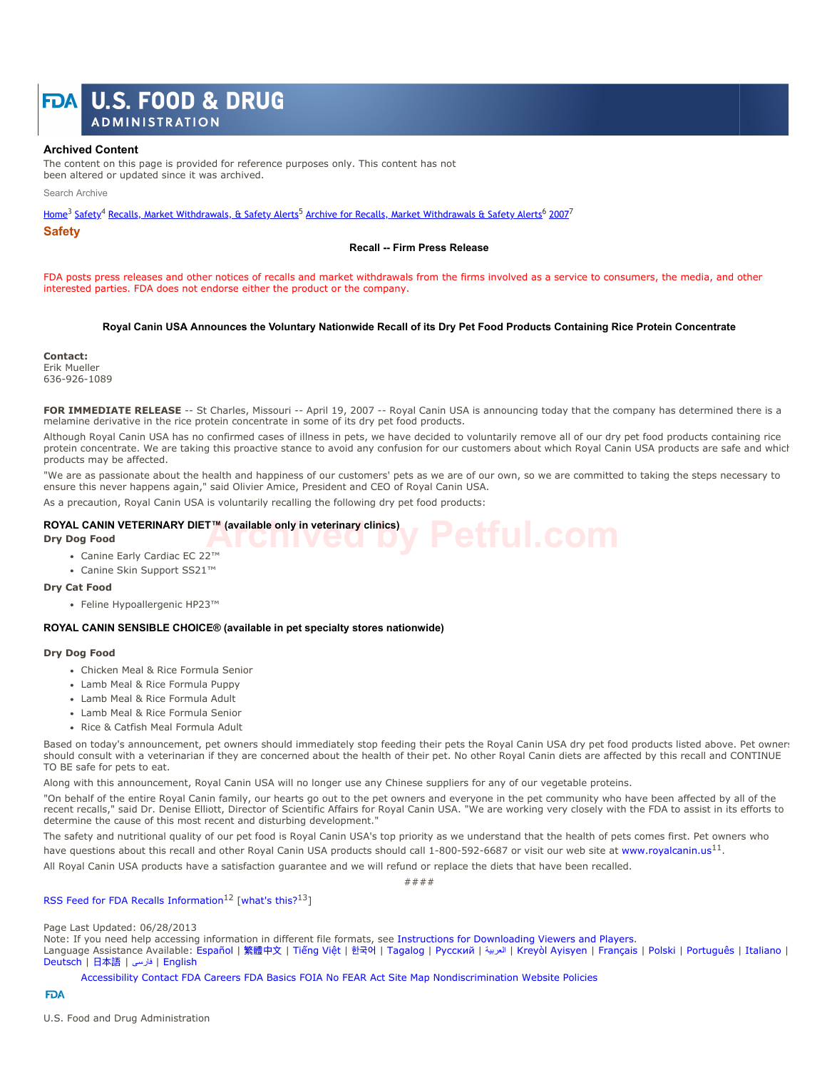# **U.S. FOOD & DRUG ADMINISTRATION**

### **Archived Content**

The content on this page is provided for reference purposes only. This content has not been altered or updated since it was archived.

Search Archive

Home<sup>3</sup> Safety<sup>4</sup> Recalls, Market Withdrawals, & Safety Alerts<sup>5</sup> Archive for Recalls, Market Withdrawals & Safety Alerts<sup>6</sup> 2007<sup>7</sup>

**Safety**

#### **Recall -- Firm Press Release**

FDA posts press releases and other notices of recalls and market withdrawals from the firms involved as a service to consumers, the media, and other interested parties. FDA does not endorse either the product or the company.

#### **Royal Canin USA Announces the Voluntary Nationwide Recall of its Dry Pet Food Products Containing Rice Protein Concentrate**

**Contact:** Erik Mueller 636-926-1089

FOR IMMEDIATE RELEASE -- St Charles, Missouri -- April 19, 2007 -- Royal Canin USA is announcing today that the company has determined there is a melamine derivative in the rice protein concentrate in some of its dry pet food products.

Although Royal Canin USA has no confirmed cases of illness in pets, we have decided to voluntarily remove all of our dry pet food products containing rice protein concentrate. We are taking this proactive stance to avoid any confusion for our customers about which Royal Canin USA products are safe and which products may be affected.

"We are as passionate about the health and happiness of our customers' pets as we are of our own, so we are committed to taking the steps necessary to ensure this never happens again," said Olivier Amice, President and CEO of Royal Canin USA.

As a precaution, Royal Canin USA is voluntarily recalling the following dry pet food products:

#### **ROYAL CANIN VETERINARY DIET™ (available only in veterinary clinics)**

**Dry Dog Food**

- Canine Early Cardiac EC 22™
- Canine Skin Support SS21™

#### **Dry Cat Food**

Feline Hypoallergenic HP23™

#### **ROYAL CANIN SENSIBLE CHOICE® (available in pet specialty stores nationwide)**

#### **Dry Dog Food**

- Chicken Meal & Rice Formula Senior
- Lamb Meal & Rice Formula Puppy
- Lamb Meal & Rice Formula Adult
- Lamb Meal & Rice Formula Senior
- Rice & Catfish Meal Formula Adult

Based on today's announcement, pet owners should immediately stop feeding their pets the Royal Canin USA dry pet food products listed above. Pet owners should consult with a veterinarian if they are concerned about the health of their pet. No other Royal Canin diets are affected by this recall and CONTINUE TO BE safe for pets to eat.

Along with this announcement, Royal Canin USA will no longer use any Chinese suppliers for any of our vegetable proteins.

"On behalf of the entire Royal Canin family, our hearts go out to the pet owners and everyone in the pet community who have been affected by all of the recent recalls," said Dr. Denise Elliott, Director of Scientific Affairs for Royal Canin USA. "We are working very closely with the FDA to assist in its efforts to determine the cause of this most recent and disturbing development."

The safety and nutritional quality of our pet food is Royal Canin USA's top priority as we understand that the health of pets comes first. Pet owners who have questions about this recall and other Royal Canin USA products should call 1-800-592-6687 or visit our web site at www.royalcanin.us<sup>11</sup>.

All Royal Canin USA products have a satisfaction guarantee and we will refund or replace the diets that have been recalled.

####

## RSS Feed for FDA Recalls Information<sup>12</sup> [what's this?<sup>13</sup>]

#### Page Last Updated: 06/28/2013

Note: If you need help accessing information in different file formats, see Instructions for Downloading Viewers and Players.

Language Assistance Available: Español | 繁體中⽂ | Tiếng Việt | 한국어 | Tagalog | Русский | العربیة | Kreyòl Ayisyen | Français | Polski | Português | Italiano | Deutsch | ⽇本語 | فارسی | English

Accessibility Contact FDA Careers FDA Basics FOIA No FEAR Act Site Map Nondiscrimination Website Policies

#### **FDA**